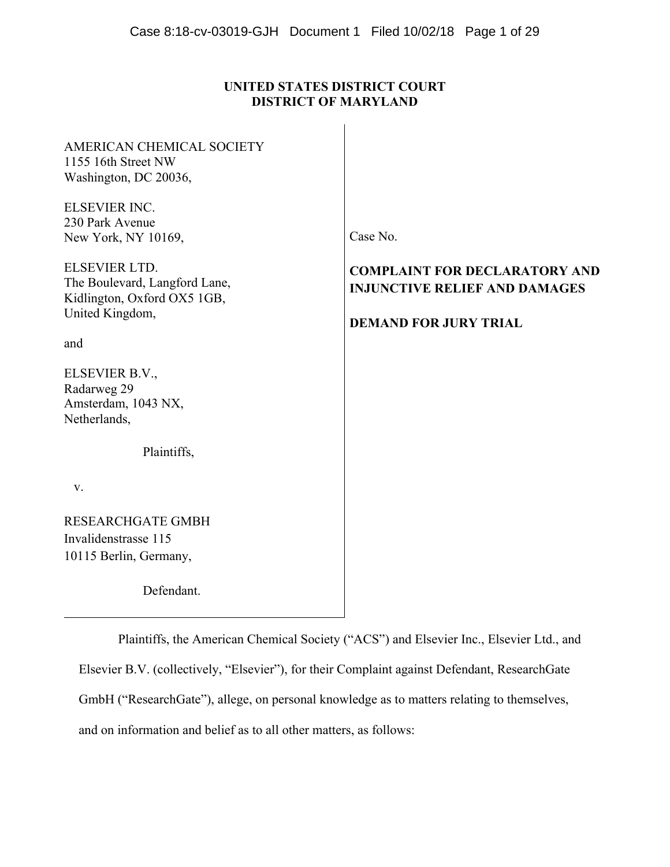# **UNITED STATES DISTRICT COURT DISTRICT OF MARYLAND**

| AMERICAN CHEMICAL SOCIETY<br>1155 16th Street NW                                     |                                                                              |
|--------------------------------------------------------------------------------------|------------------------------------------------------------------------------|
| Washington, DC 20036,                                                                |                                                                              |
| ELSEVIER INC.                                                                        |                                                                              |
| 230 Park Avenue                                                                      |                                                                              |
| New York, NY 10169,                                                                  | Case No.                                                                     |
| <b>ELSEVIER LTD.</b><br>The Boulevard, Langford Lane,<br>Kidlington, Oxford OX5 1GB, | <b>COMPLAINT FOR DECLARATORY AND</b><br><b>INJUNCTIVE RELIEF AND DAMAGES</b> |
| United Kingdom,                                                                      | <b>DEMAND FOR JURY TRIAL</b>                                                 |
| and                                                                                  |                                                                              |
| ELSEVIER B.V.,<br>Radarweg 29<br>Amsterdam, 1043 NX,<br>Netherlands,                 |                                                                              |
| Plaintiffs,                                                                          |                                                                              |
| V.                                                                                   |                                                                              |
| <b>RESEARCHGATE GMBH</b>                                                             |                                                                              |
| Invalidenstrasse 115                                                                 |                                                                              |
| 10115 Berlin, Germany,                                                               |                                                                              |
| Defendant.                                                                           |                                                                              |

Plaintiffs, the American Chemical Society ("ACS") and Elsevier Inc., Elsevier Ltd., and Elsevier B.V. (collectively, "Elsevier"), for their Complaint against Defendant, ResearchGate GmbH ("ResearchGate"), allege, on personal knowledge as to matters relating to themselves, and on information and belief as to all other matters, as follows: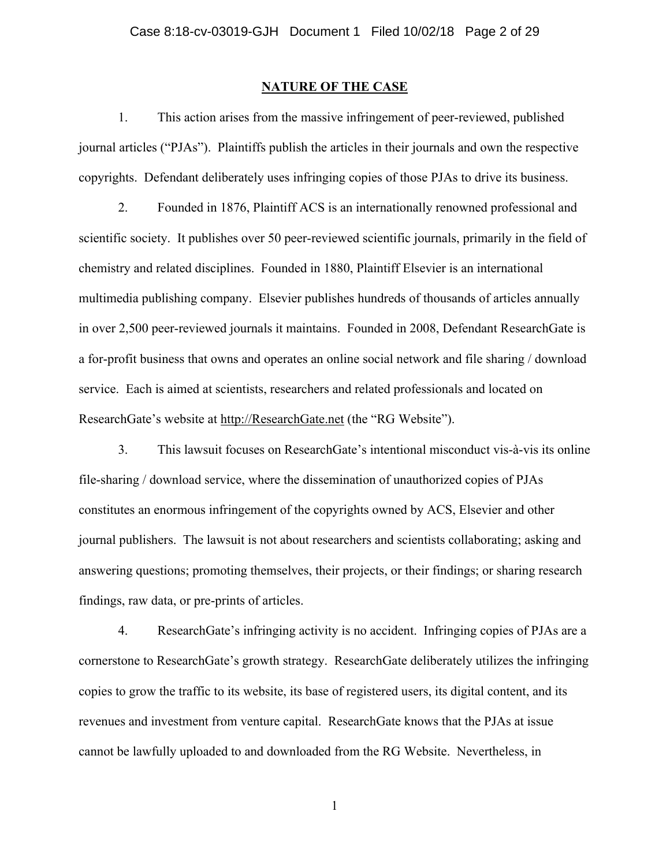## **NATURE OF THE CASE**

1. This action arises from the massive infringement of peer-reviewed, published journal articles ("PJAs"). Plaintiffs publish the articles in their journals and own the respective copyrights. Defendant deliberately uses infringing copies of those PJAs to drive its business.

2. Founded in 1876, Plaintiff ACS is an internationally renowned professional and scientific society. It publishes over 50 peer-reviewed scientific journals, primarily in the field of chemistry and related disciplines. Founded in 1880, Plaintiff Elsevier is an international multimedia publishing company. Elsevier publishes hundreds of thousands of articles annually in over 2,500 peer-reviewed journals it maintains. Founded in 2008, Defendant ResearchGate is a for-profit business that owns and operates an online social network and file sharing / download service. Each is aimed at scientists, researchers and related professionals and located on ResearchGate's website at http://ResearchGate.net (the "RG Website").

3. This lawsuit focuses on ResearchGate's intentional misconduct vis-à-vis its online file-sharing / download service, where the dissemination of unauthorized copies of PJAs constitutes an enormous infringement of the copyrights owned by ACS, Elsevier and other journal publishers. The lawsuit is not about researchers and scientists collaborating; asking and answering questions; promoting themselves, their projects, or their findings; or sharing research findings, raw data, or pre-prints of articles.

4. ResearchGate's infringing activity is no accident. Infringing copies of PJAs are a cornerstone to ResearchGate's growth strategy. ResearchGate deliberately utilizes the infringing copies to grow the traffic to its website, its base of registered users, its digital content, and its revenues and investment from venture capital. ResearchGate knows that the PJAs at issue cannot be lawfully uploaded to and downloaded from the RG Website. Nevertheless, in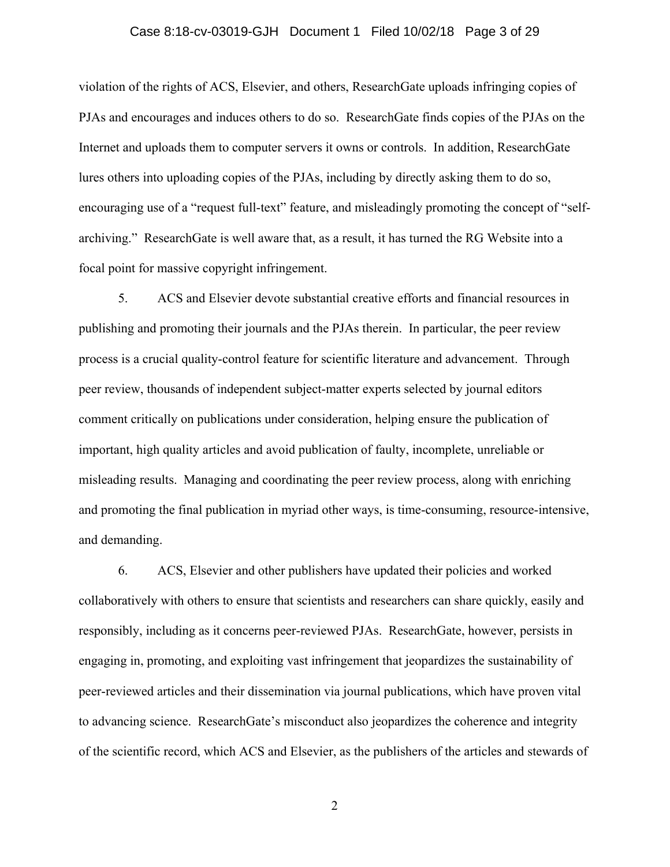## Case 8:18-cv-03019-GJH Document 1 Filed 10/02/18 Page 3 of 29

violation of the rights of ACS, Elsevier, and others, ResearchGate uploads infringing copies of PJAs and encourages and induces others to do so. ResearchGate finds copies of the PJAs on the Internet and uploads them to computer servers it owns or controls. In addition, ResearchGate lures others into uploading copies of the PJAs, including by directly asking them to do so, encouraging use of a "request full-text" feature, and misleadingly promoting the concept of "selfarchiving." ResearchGate is well aware that, as a result, it has turned the RG Website into a focal point for massive copyright infringement.

5. ACS and Elsevier devote substantial creative efforts and financial resources in publishing and promoting their journals and the PJAs therein. In particular, the peer review process is a crucial quality-control feature for scientific literature and advancement. Through peer review, thousands of independent subject-matter experts selected by journal editors comment critically on publications under consideration, helping ensure the publication of important, high quality articles and avoid publication of faulty, incomplete, unreliable or misleading results. Managing and coordinating the peer review process, along with enriching and promoting the final publication in myriad other ways, is time-consuming, resource-intensive, and demanding.

6. ACS, Elsevier and other publishers have updated their policies and worked collaboratively with others to ensure that scientists and researchers can share quickly, easily and responsibly, including as it concerns peer-reviewed PJAs. ResearchGate, however, persists in engaging in, promoting, and exploiting vast infringement that jeopardizes the sustainability of peer-reviewed articles and their dissemination via journal publications, which have proven vital to advancing science. ResearchGate's misconduct also jeopardizes the coherence and integrity of the scientific record, which ACS and Elsevier, as the publishers of the articles and stewards of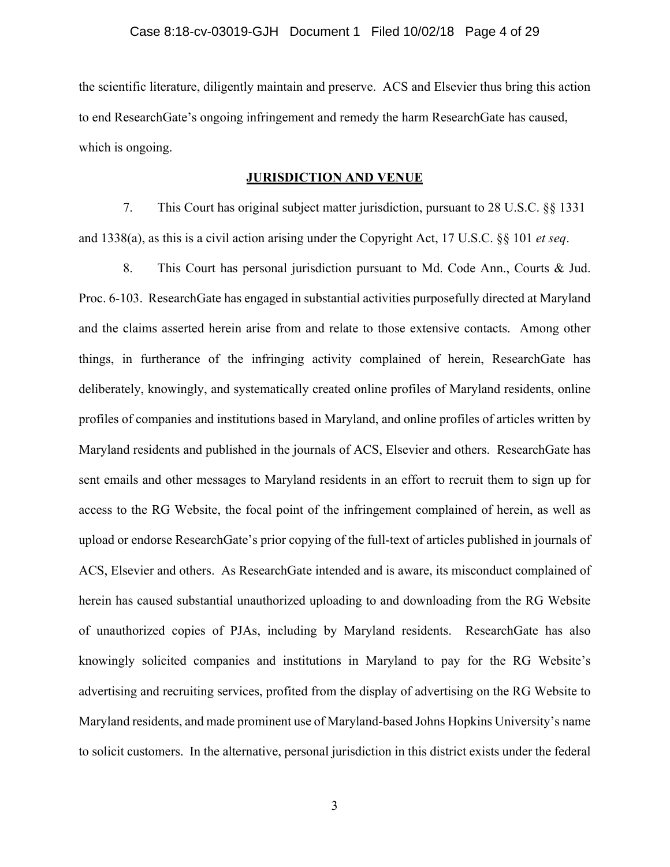the scientific literature, diligently maintain and preserve. ACS and Elsevier thus bring this action to end ResearchGate's ongoing infringement and remedy the harm ResearchGate has caused, which is ongoing.

## **JURISDICTION AND VENUE**

7. This Court has original subject matter jurisdiction, pursuant to 28 U.S.C. §§ 1331 and 1338(a), as this is a civil action arising under the Copyright Act, 17 U.S.C. §§ 101 *et seq*.

8. This Court has personal jurisdiction pursuant to Md. Code Ann., Courts & Jud. Proc. 6-103. ResearchGate has engaged in substantial activities purposefully directed at Maryland and the claims asserted herein arise from and relate to those extensive contacts. Among other things, in furtherance of the infringing activity complained of herein, ResearchGate has deliberately, knowingly, and systematically created online profiles of Maryland residents, online profiles of companies and institutions based in Maryland, and online profiles of articles written by Maryland residents and published in the journals of ACS, Elsevier and others. ResearchGate has sent emails and other messages to Maryland residents in an effort to recruit them to sign up for access to the RG Website, the focal point of the infringement complained of herein, as well as upload or endorse ResearchGate's prior copying of the full-text of articles published in journals of ACS, Elsevier and others. As ResearchGate intended and is aware, its misconduct complained of herein has caused substantial unauthorized uploading to and downloading from the RG Website of unauthorized copies of PJAs, including by Maryland residents. ResearchGate has also knowingly solicited companies and institutions in Maryland to pay for the RG Website's advertising and recruiting services, profited from the display of advertising on the RG Website to Maryland residents, and made prominent use of Maryland-based Johns Hopkins University's name to solicit customers. In the alternative, personal jurisdiction in this district exists under the federal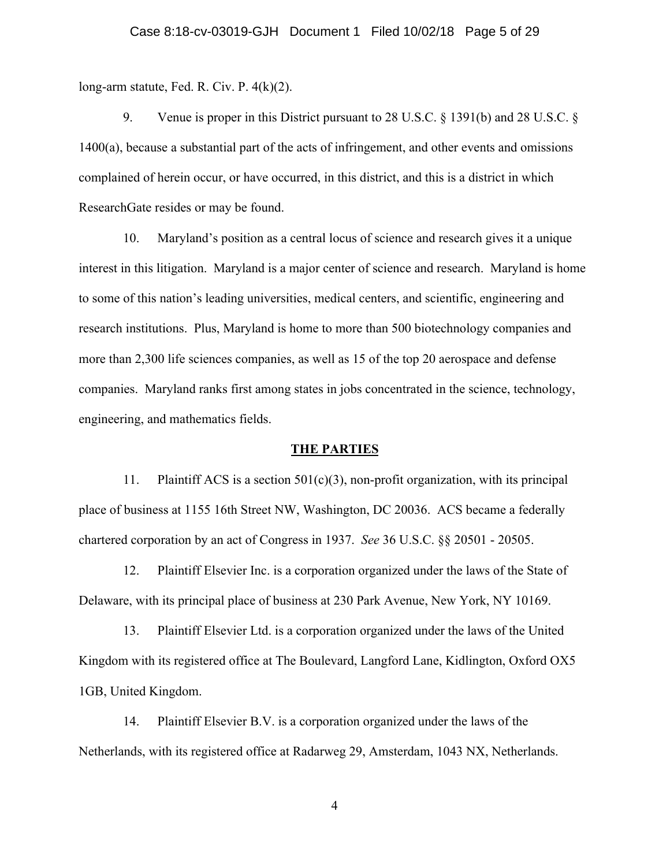long-arm statute, Fed. R. Civ. P. 4(k)(2).

9. Venue is proper in this District pursuant to 28 U.S.C. § 1391(b) and 28 U.S.C. § 1400(a), because a substantial part of the acts of infringement, and other events and omissions complained of herein occur, or have occurred, in this district, and this is a district in which ResearchGate resides or may be found.

10. Maryland's position as a central locus of science and research gives it a unique interest in this litigation. Maryland is a major center of science and research. Maryland is home to some of this nation's leading universities, medical centers, and scientific, engineering and research institutions. Plus, Maryland is home to more than 500 biotechnology companies and more than 2,300 life sciences companies, as well as 15 of the top 20 aerospace and defense companies. Maryland ranks first among states in jobs concentrated in the science, technology, engineering, and mathematics fields.

#### **THE PARTIES**

11. Plaintiff ACS is a section 501(c)(3), non-profit organization, with its principal place of business at 1155 16th Street NW, Washington, DC 20036. ACS became a federally chartered corporation by an act of Congress in 1937. *See* 36 U.S.C. §§ 20501 - 20505.

12. Plaintiff Elsevier Inc. is a corporation organized under the laws of the State of Delaware, with its principal place of business at 230 Park Avenue, New York, NY 10169.

13. Plaintiff Elsevier Ltd. is a corporation organized under the laws of the United Kingdom with its registered office at The Boulevard, Langford Lane, Kidlington, Oxford OX5 1GB, United Kingdom.

14. Plaintiff Elsevier B.V. is a corporation organized under the laws of the Netherlands, with its registered office at Radarweg 29, Amsterdam, 1043 NX, Netherlands.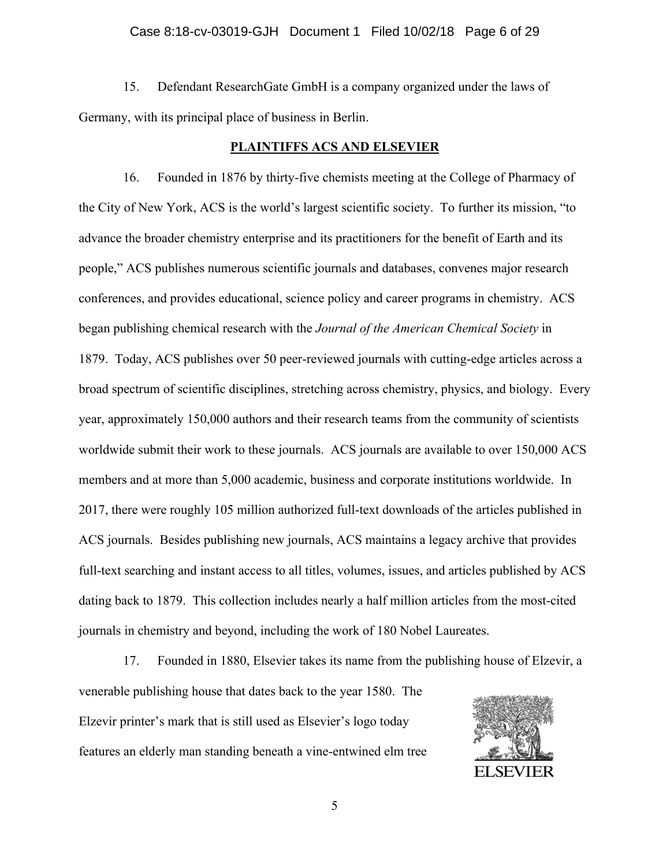## Case 8:18-cv-03019-GJH Document 1 Filed 10/02/18 Page 6 of 29

15. Defendant ResearchGate GmbH is a company organized under the laws of Germany, with its principal place of business in Berlin.

#### **PLAINTIFFS ACS AND ELSEVIER**

16. Founded in 1876 by thirty-five chemists meeting at the College of Pharmacy of the City of New York, ACS is the world's largest scientific society. To further its mission, "to advance the broader chemistry enterprise and its practitioners for the benefit of Earth and its people," ACS publishes numerous scientific journals and databases, convenes major research conferences, and provides educational, science policy and career programs in chemistry. ACS began publishing chemical research with the *Journal of the American Chemical Society* in 1879. Today, ACS publishes over 50 peer-reviewed journals with cutting-edge articles across a broad spectrum of scientific disciplines, stretching across chemistry, physics, and biology. Every year, approximately 150,000 authors and their research teams from the community of scientists worldwide submit their work to these journals. ACS journals are available to over 150,000 ACS members and at more than 5,000 academic, business and corporate institutions worldwide. In 2017, there were roughly 105 million authorized full-text downloads of the articles published in ACS journals. Besides publishing new journals, ACS maintains a legacy archive that provides full-text searching and instant access to all titles, volumes, issues, and articles published by ACS dating back to 1879. This collection includes nearly a half million articles from the most-cited journals in chemistry and beyond, including the work of 180 Nobel Laureates.

17. Founded in 1880, Elsevier takes its name from the publishing house of Elzevir, a venerable publishing house that dates back to the year 1580. The Elzevir printer's mark that is still used as Elsevier's logo today features an elderly man standing beneath a vine-entwined elm tree

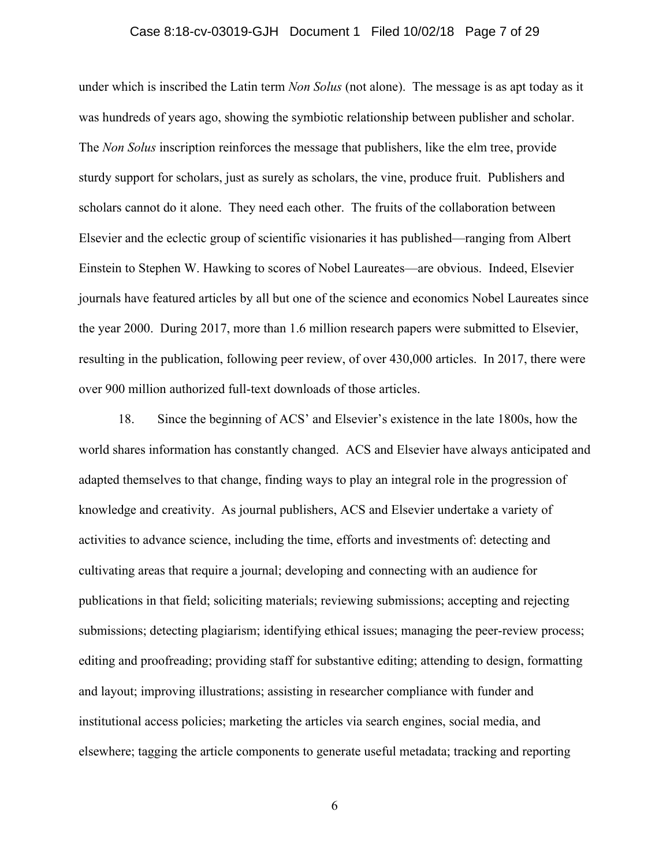## Case 8:18-cv-03019-GJH Document 1 Filed 10/02/18 Page 7 of 29

under which is inscribed the Latin term *Non Solus* (not alone). The message is as apt today as it was hundreds of years ago, showing the symbiotic relationship between publisher and scholar. The *Non Solus* inscription reinforces the message that publishers, like the elm tree, provide sturdy support for scholars, just as surely as scholars, the vine, produce fruit. Publishers and scholars cannot do it alone. They need each other. The fruits of the collaboration between Elsevier and the eclectic group of scientific visionaries it has published—ranging from Albert Einstein to Stephen W. Hawking to scores of Nobel Laureates—are obvious. Indeed, Elsevier journals have featured articles by all but one of the science and economics Nobel Laureates since the year 2000. During 2017, more than 1.6 million research papers were submitted to Elsevier, resulting in the publication, following peer review, of over 430,000 articles. In 2017, there were over 900 million authorized full-text downloads of those articles.

18. Since the beginning of ACS' and Elsevier's existence in the late 1800s, how the world shares information has constantly changed. ACS and Elsevier have always anticipated and adapted themselves to that change, finding ways to play an integral role in the progression of knowledge and creativity. As journal publishers, ACS and Elsevier undertake a variety of activities to advance science, including the time, efforts and investments of: detecting and cultivating areas that require a journal; developing and connecting with an audience for publications in that field; soliciting materials; reviewing submissions; accepting and rejecting submissions; detecting plagiarism; identifying ethical issues; managing the peer-review process; editing and proofreading; providing staff for substantive editing; attending to design, formatting and layout; improving illustrations; assisting in researcher compliance with funder and institutional access policies; marketing the articles via search engines, social media, and elsewhere; tagging the article components to generate useful metadata; tracking and reporting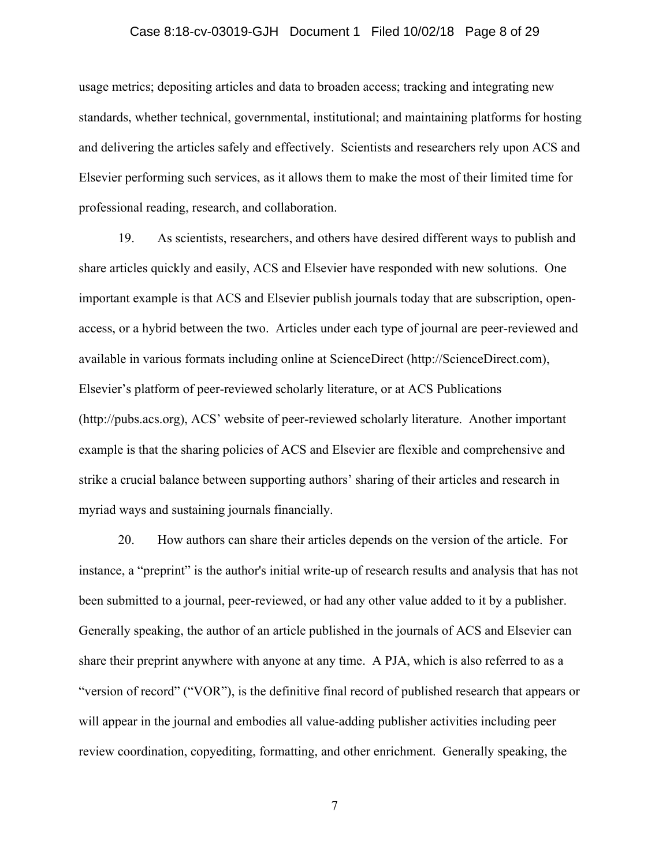## Case 8:18-cv-03019-GJH Document 1 Filed 10/02/18 Page 8 of 29

usage metrics; depositing articles and data to broaden access; tracking and integrating new standards, whether technical, governmental, institutional; and maintaining platforms for hosting and delivering the articles safely and effectively. Scientists and researchers rely upon ACS and Elsevier performing such services, as it allows them to make the most of their limited time for professional reading, research, and collaboration.

19. As scientists, researchers, and others have desired different ways to publish and share articles quickly and easily, ACS and Elsevier have responded with new solutions. One important example is that ACS and Elsevier publish journals today that are subscription, openaccess, or a hybrid between the two. Articles under each type of journal are peer-reviewed and available in various formats including online at ScienceDirect (http://ScienceDirect.com), Elsevier's platform of peer-reviewed scholarly literature, or at ACS Publications (http://pubs.acs.org), ACS' website of peer-reviewed scholarly literature. Another important example is that the sharing policies of ACS and Elsevier are flexible and comprehensive and strike a crucial balance between supporting authors' sharing of their articles and research in myriad ways and sustaining journals financially.

20. How authors can share their articles depends on the version of the article. For instance, a "preprint" is the author's initial write-up of research results and analysis that has not been submitted to a journal, peer-reviewed, or had any other value added to it by a publisher. Generally speaking, the author of an article published in the journals of ACS and Elsevier can share their preprint anywhere with anyone at any time. A PJA, which is also referred to as a "version of record" ("VOR"), is the definitive final record of published research that appears or will appear in the journal and embodies all value-adding publisher activities including peer review coordination, copyediting, formatting, and other enrichment. Generally speaking, the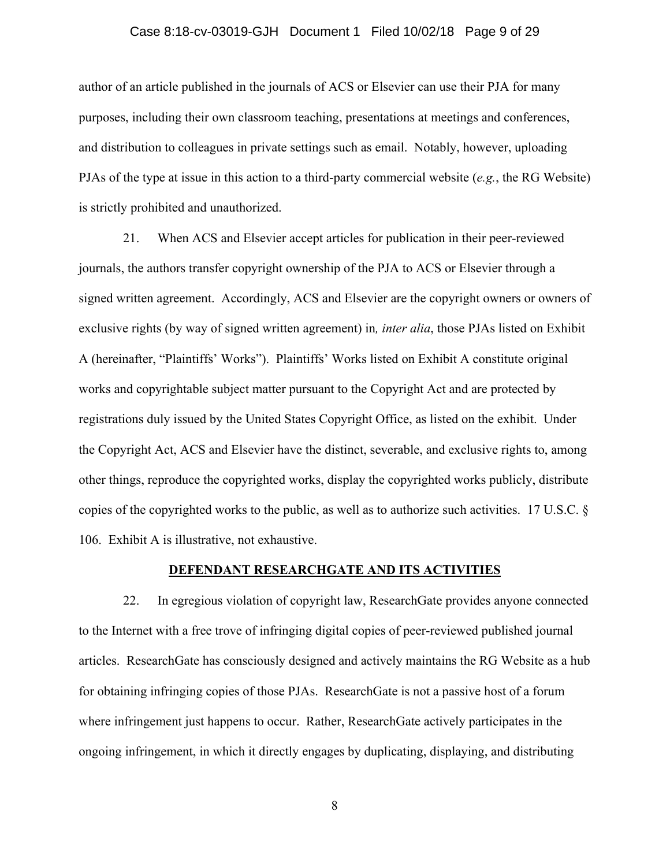## Case 8:18-cv-03019-GJH Document 1 Filed 10/02/18 Page 9 of 29

author of an article published in the journals of ACS or Elsevier can use their PJA for many purposes, including their own classroom teaching, presentations at meetings and conferences, and distribution to colleagues in private settings such as email. Notably, however, uploading PJAs of the type at issue in this action to a third-party commercial website (*e.g.*, the RG Website) is strictly prohibited and unauthorized.

21. When ACS and Elsevier accept articles for publication in their peer-reviewed journals, the authors transfer copyright ownership of the PJA to ACS or Elsevier through a signed written agreement. Accordingly, ACS and Elsevier are the copyright owners or owners of exclusive rights (by way of signed written agreement) in*, inter alia*, those PJAs listed on Exhibit A (hereinafter, "Plaintiffs' Works"). Plaintiffs' Works listed on Exhibit A constitute original works and copyrightable subject matter pursuant to the Copyright Act and are protected by registrations duly issued by the United States Copyright Office, as listed on the exhibit. Under the Copyright Act, ACS and Elsevier have the distinct, severable, and exclusive rights to, among other things, reproduce the copyrighted works, display the copyrighted works publicly, distribute copies of the copyrighted works to the public, as well as to authorize such activities. 17 U.S.C. § 106. Exhibit A is illustrative, not exhaustive.

## **DEFENDANT RESEARCHGATE AND ITS ACTIVITIES**

22. In egregious violation of copyright law, ResearchGate provides anyone connected to the Internet with a free trove of infringing digital copies of peer-reviewed published journal articles. ResearchGate has consciously designed and actively maintains the RG Website as a hub for obtaining infringing copies of those PJAs. ResearchGate is not a passive host of a forum where infringement just happens to occur. Rather, ResearchGate actively participates in the ongoing infringement, in which it directly engages by duplicating, displaying, and distributing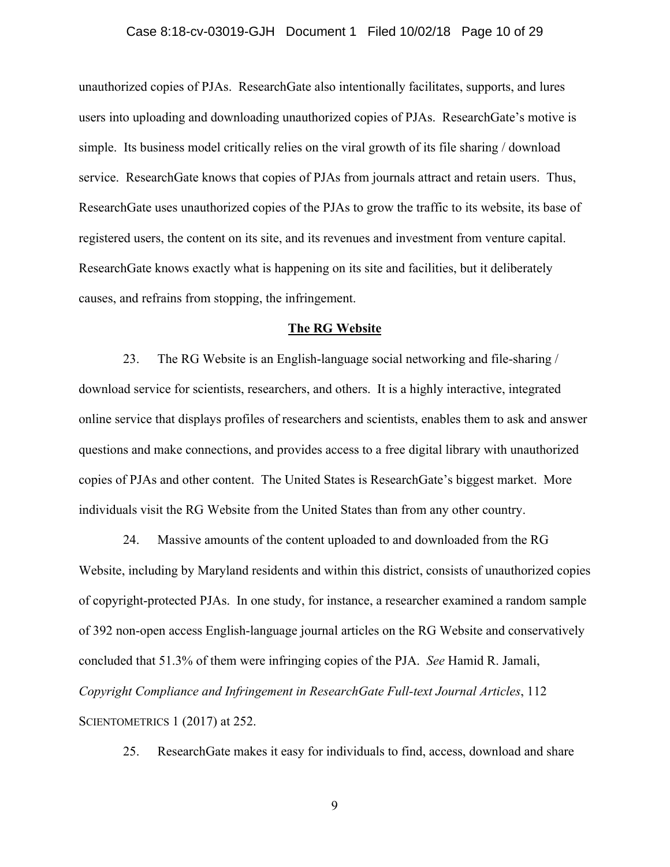## Case 8:18-cv-03019-GJH Document 1 Filed 10/02/18 Page 10 of 29

unauthorized copies of PJAs. ResearchGate also intentionally facilitates, supports, and lures users into uploading and downloading unauthorized copies of PJAs. ResearchGate's motive is simple. Its business model critically relies on the viral growth of its file sharing / download service. ResearchGate knows that copies of PJAs from journals attract and retain users. Thus, ResearchGate uses unauthorized copies of the PJAs to grow the traffic to its website, its base of registered users, the content on its site, and its revenues and investment from venture capital. ResearchGate knows exactly what is happening on its site and facilities, but it deliberately causes, and refrains from stopping, the infringement.

#### **The RG Website**

23. The RG Website is an English-language social networking and file-sharing / download service for scientists, researchers, and others. It is a highly interactive, integrated online service that displays profiles of researchers and scientists, enables them to ask and answer questions and make connections, and provides access to a free digital library with unauthorized copies of PJAs and other content. The United States is ResearchGate's biggest market. More individuals visit the RG Website from the United States than from any other country.

24. Massive amounts of the content uploaded to and downloaded from the RG Website, including by Maryland residents and within this district, consists of unauthorized copies of copyright-protected PJAs. In one study, for instance, a researcher examined a random sample of 392 non-open access English-language journal articles on the RG Website and conservatively concluded that 51.3% of them were infringing copies of the PJA. *See* Hamid R. Jamali, *Copyright Compliance and Infringement in ResearchGate Full-text Journal Articles*, 112 SCIENTOMETRICS 1 (2017) at 252.

25. ResearchGate makes it easy for individuals to find, access, download and share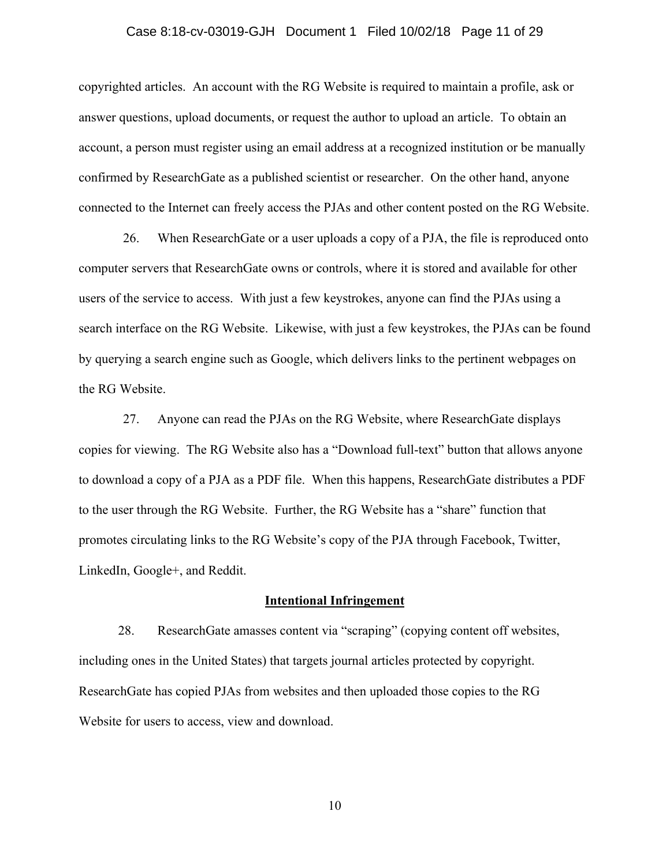## Case 8:18-cv-03019-GJH Document 1 Filed 10/02/18 Page 11 of 29

copyrighted articles. An account with the RG Website is required to maintain a profile, ask or answer questions, upload documents, or request the author to upload an article. To obtain an account, a person must register using an email address at a recognized institution or be manually confirmed by ResearchGate as a published scientist or researcher. On the other hand, anyone connected to the Internet can freely access the PJAs and other content posted on the RG Website.

26. When ResearchGate or a user uploads a copy of a PJA, the file is reproduced onto computer servers that ResearchGate owns or controls, where it is stored and available for other users of the service to access. With just a few keystrokes, anyone can find the PJAs using a search interface on the RG Website. Likewise, with just a few keystrokes, the PJAs can be found by querying a search engine such as Google, which delivers links to the pertinent webpages on the RG Website.

27. Anyone can read the PJAs on the RG Website, where ResearchGate displays copies for viewing. The RG Website also has a "Download full-text" button that allows anyone to download a copy of a PJA as a PDF file. When this happens, ResearchGate distributes a PDF to the user through the RG Website. Further, the RG Website has a "share" function that promotes circulating links to the RG Website's copy of the PJA through Facebook, Twitter, LinkedIn, Google+, and Reddit.

#### **Intentional Infringement**

28. ResearchGate amasses content via "scraping" (copying content off websites, including ones in the United States) that targets journal articles protected by copyright. ResearchGate has copied PJAs from websites and then uploaded those copies to the RG Website for users to access, view and download.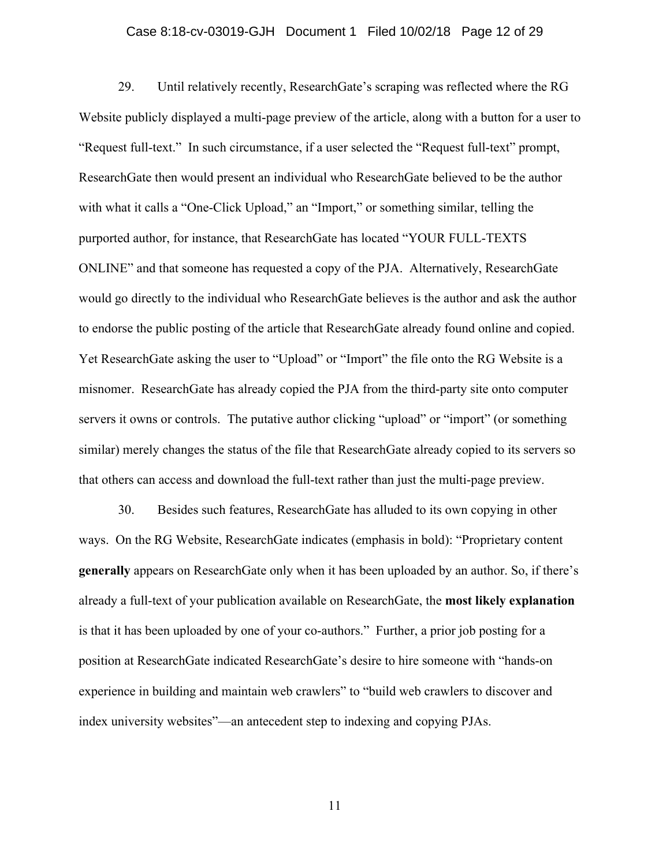## Case 8:18-cv-03019-GJH Document 1 Filed 10/02/18 Page 12 of 29

29. Until relatively recently, ResearchGate's scraping was reflected where the RG Website publicly displayed a multi-page preview of the article, along with a button for a user to "Request full-text." In such circumstance, if a user selected the "Request full-text" prompt, ResearchGate then would present an individual who ResearchGate believed to be the author with what it calls a "One-Click Upload," an "Import," or something similar, telling the purported author, for instance, that ResearchGate has located "YOUR FULL-TEXTS ONLINE" and that someone has requested a copy of the PJA. Alternatively, ResearchGate would go directly to the individual who ResearchGate believes is the author and ask the author to endorse the public posting of the article that ResearchGate already found online and copied. Yet ResearchGate asking the user to "Upload" or "Import" the file onto the RG Website is a misnomer. ResearchGate has already copied the PJA from the third-party site onto computer servers it owns or controls. The putative author clicking "upload" or "import" (or something similar) merely changes the status of the file that ResearchGate already copied to its servers so that others can access and download the full-text rather than just the multi-page preview.

30. Besides such features, ResearchGate has alluded to its own copying in other ways. On the RG Website, ResearchGate indicates (emphasis in bold): "Proprietary content **generally** appears on ResearchGate only when it has been uploaded by an author. So, if there's already a full-text of your publication available on ResearchGate, the **most likely explanation**  is that it has been uploaded by one of your co-authors." Further, a prior job posting for a position at ResearchGate indicated ResearchGate's desire to hire someone with "hands-on experience in building and maintain web crawlers" to "build web crawlers to discover and index university websites"—an antecedent step to indexing and copying PJAs.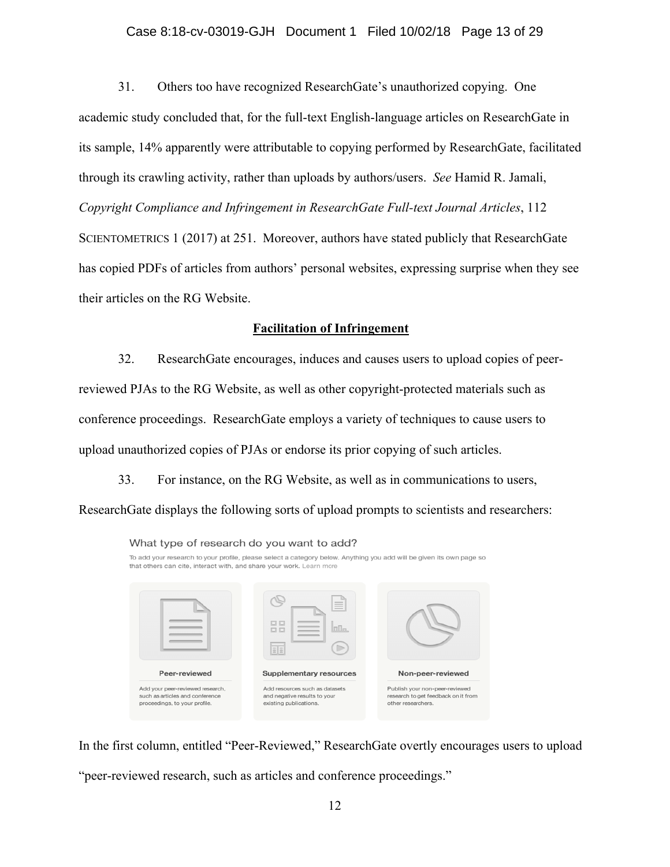## Case 8:18-cv-03019-GJH Document 1 Filed 10/02/18 Page 13 of 29

31. Others too have recognized ResearchGate's unauthorized copying. One academic study concluded that, for the full-text English-language articles on ResearchGate in its sample, 14% apparently were attributable to copying performed by ResearchGate, facilitated through its crawling activity, rather than uploads by authors/users. *See* Hamid R. Jamali, *Copyright Compliance and Infringement in ResearchGate Full-text Journal Articles*, 112 SCIENTOMETRICS 1 (2017) at 251. Moreover, authors have stated publicly that ResearchGate has copied PDFs of articles from authors' personal websites, expressing surprise when they see their articles on the RG Website.

## **Facilitation of Infringement**

32. ResearchGate encourages, induces and causes users to upload copies of peerreviewed PJAs to the RG Website, as well as other copyright-protected materials such as conference proceedings. ResearchGate employs a variety of techniques to cause users to upload unauthorized copies of PJAs or endorse its prior copying of such articles.

33. For instance, on the RG Website, as well as in communications to users, ResearchGate displays the following sorts of upload prompts to scientists and researchers:



In the first column, entitled "Peer-Reviewed," ResearchGate overtly encourages users to upload "peer-reviewed research, such as articles and conference proceedings."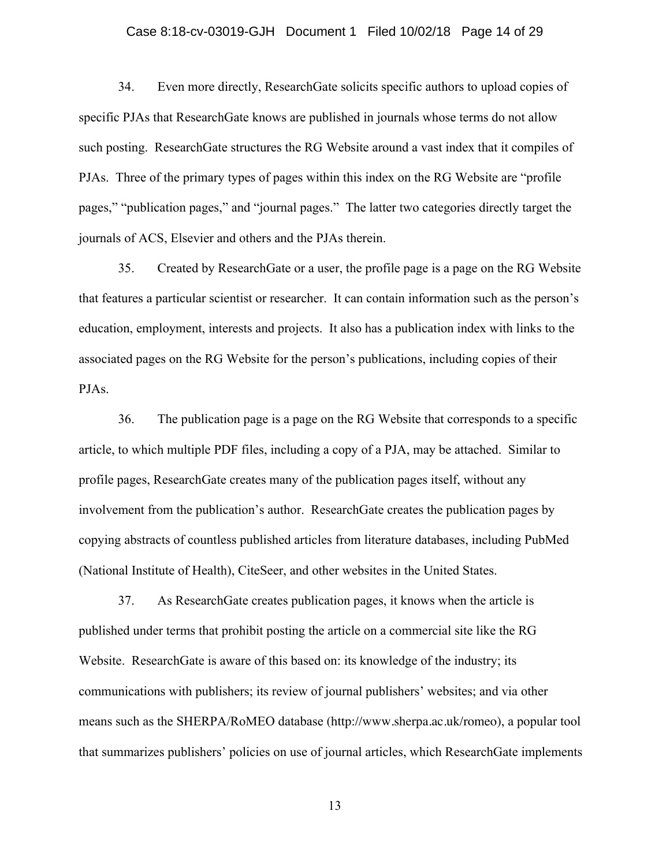## Case 8:18-cv-03019-GJH Document 1 Filed 10/02/18 Page 14 of 29

34. Even more directly, ResearchGate solicits specific authors to upload copies of specific PJAs that ResearchGate knows are published in journals whose terms do not allow such posting. ResearchGate structures the RG Website around a vast index that it compiles of PJAs. Three of the primary types of pages within this index on the RG Website are "profile pages," "publication pages," and "journal pages." The latter two categories directly target the journals of ACS, Elsevier and others and the PJAs therein.

35. Created by ResearchGate or a user, the profile page is a page on the RG Website that features a particular scientist or researcher. It can contain information such as the person's education, employment, interests and projects. It also has a publication index with links to the associated pages on the RG Website for the person's publications, including copies of their PJAs.

36. The publication page is a page on the RG Website that corresponds to a specific article, to which multiple PDF files, including a copy of a PJA, may be attached. Similar to profile pages, ResearchGate creates many of the publication pages itself, without any involvement from the publication's author. ResearchGate creates the publication pages by copying abstracts of countless published articles from literature databases, including PubMed (National Institute of Health), CiteSeer, and other websites in the United States.

37. As ResearchGate creates publication pages, it knows when the article is published under terms that prohibit posting the article on a commercial site like the RG Website. ResearchGate is aware of this based on: its knowledge of the industry; its communications with publishers; its review of journal publishers' websites; and via other means such as the SHERPA/RoMEO database (http://www.sherpa.ac.uk/romeo), a popular tool that summarizes publishers' policies on use of journal articles, which ResearchGate implements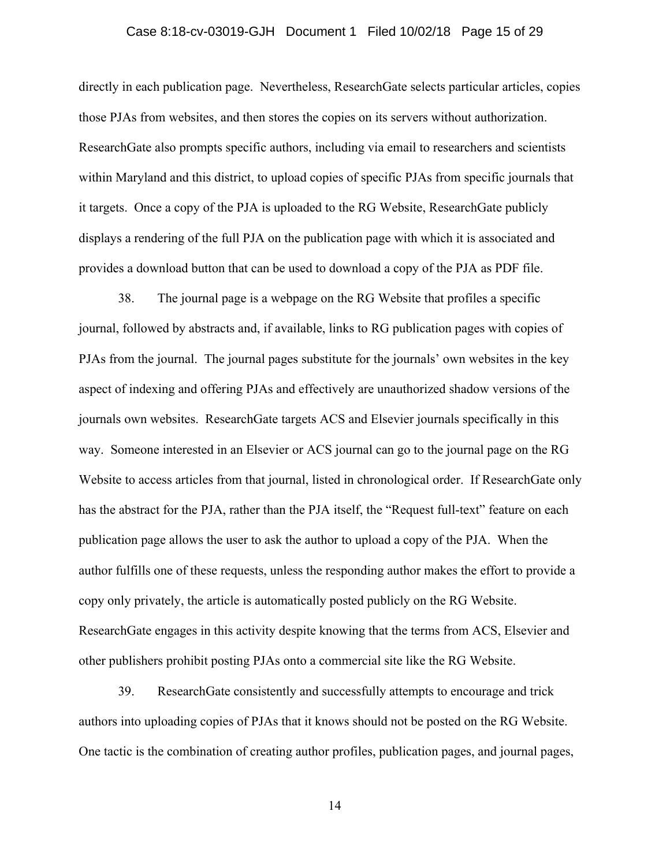## Case 8:18-cv-03019-GJH Document 1 Filed 10/02/18 Page 15 of 29

directly in each publication page. Nevertheless, ResearchGate selects particular articles, copies those PJAs from websites, and then stores the copies on its servers without authorization. ResearchGate also prompts specific authors, including via email to researchers and scientists within Maryland and this district, to upload copies of specific PJAs from specific journals that it targets. Once a copy of the PJA is uploaded to the RG Website, ResearchGate publicly displays a rendering of the full PJA on the publication page with which it is associated and provides a download button that can be used to download a copy of the PJA as PDF file.

38. The journal page is a webpage on the RG Website that profiles a specific journal, followed by abstracts and, if available, links to RG publication pages with copies of PJAs from the journal. The journal pages substitute for the journals' own websites in the key aspect of indexing and offering PJAs and effectively are unauthorized shadow versions of the journals own websites. ResearchGate targets ACS and Elsevier journals specifically in this way. Someone interested in an Elsevier or ACS journal can go to the journal page on the RG Website to access articles from that journal, listed in chronological order. If ResearchGate only has the abstract for the PJA, rather than the PJA itself, the "Request full-text" feature on each publication page allows the user to ask the author to upload a copy of the PJA. When the author fulfills one of these requests, unless the responding author makes the effort to provide a copy only privately, the article is automatically posted publicly on the RG Website. ResearchGate engages in this activity despite knowing that the terms from ACS, Elsevier and other publishers prohibit posting PJAs onto a commercial site like the RG Website.

39. ResearchGate consistently and successfully attempts to encourage and trick authors into uploading copies of PJAs that it knows should not be posted on the RG Website. One tactic is the combination of creating author profiles, publication pages, and journal pages,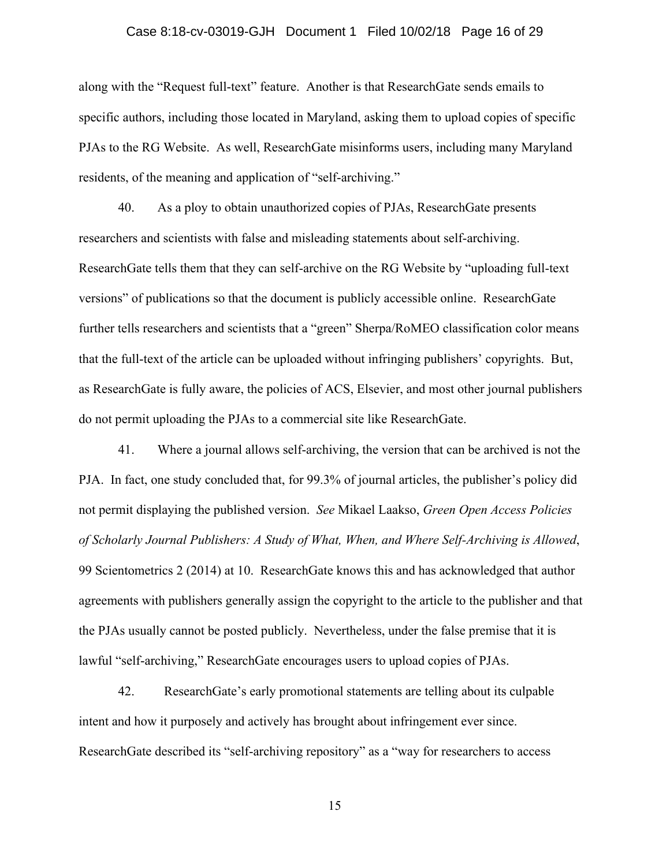## Case 8:18-cv-03019-GJH Document 1 Filed 10/02/18 Page 16 of 29

along with the "Request full-text" feature. Another is that ResearchGate sends emails to specific authors, including those located in Maryland, asking them to upload copies of specific PJAs to the RG Website. As well, ResearchGate misinforms users, including many Maryland residents, of the meaning and application of "self-archiving."

40. As a ploy to obtain unauthorized copies of PJAs, ResearchGate presents researchers and scientists with false and misleading statements about self-archiving. ResearchGate tells them that they can self-archive on the RG Website by "uploading full-text versions" of publications so that the document is publicly accessible online. ResearchGate further tells researchers and scientists that a "green" Sherpa/RoMEO classification color means that the full-text of the article can be uploaded without infringing publishers' copyrights. But, as ResearchGate is fully aware, the policies of ACS, Elsevier, and most other journal publishers do not permit uploading the PJAs to a commercial site like ResearchGate.

41. Where a journal allows self-archiving, the version that can be archived is not the PJA. In fact, one study concluded that, for 99.3% of journal articles, the publisher's policy did not permit displaying the published version. *See* Mikael Laakso, *Green Open Access Policies of Scholarly Journal Publishers: A Study of What, When, and Where Self-Archiving is Allowed*, 99 Scientometrics 2 (2014) at 10. ResearchGate knows this and has acknowledged that author agreements with publishers generally assign the copyright to the article to the publisher and that the PJAs usually cannot be posted publicly. Nevertheless, under the false premise that it is lawful "self-archiving," ResearchGate encourages users to upload copies of PJAs.

42. ResearchGate's early promotional statements are telling about its culpable intent and how it purposely and actively has brought about infringement ever since. ResearchGate described its "self-archiving repository" as a "way for researchers to access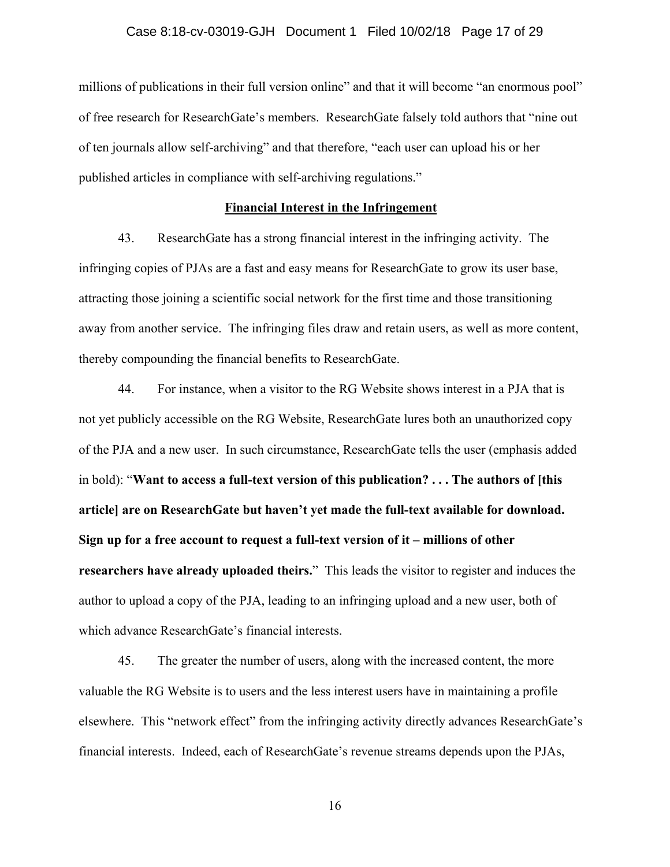## Case 8:18-cv-03019-GJH Document 1 Filed 10/02/18 Page 17 of 29

millions of publications in their full version online" and that it will become "an enormous pool" of free research for ResearchGate's members. ResearchGate falsely told authors that "nine out of ten journals allow self-archiving" and that therefore, "each user can upload his or her published articles in compliance with self-archiving regulations."

### **Financial Interest in the Infringement**

43. ResearchGate has a strong financial interest in the infringing activity. The infringing copies of PJAs are a fast and easy means for ResearchGate to grow its user base, attracting those joining a scientific social network for the first time and those transitioning away from another service. The infringing files draw and retain users, as well as more content, thereby compounding the financial benefits to ResearchGate.

44. For instance, when a visitor to the RG Website shows interest in a PJA that is not yet publicly accessible on the RG Website, ResearchGate lures both an unauthorized copy of the PJA and a new user. In such circumstance, ResearchGate tells the user (emphasis added in bold): "**Want to access a full-text version of this publication? . . . The authors of [this article] are on ResearchGate but haven't yet made the full-text available for download. Sign up for a free account to request a full-text version of it – millions of other researchers have already uploaded theirs.**" This leads the visitor to register and induces the author to upload a copy of the PJA, leading to an infringing upload and a new user, both of which advance ResearchGate's financial interests.

45. The greater the number of users, along with the increased content, the more valuable the RG Website is to users and the less interest users have in maintaining a profile elsewhere. This "network effect" from the infringing activity directly advances ResearchGate's financial interests. Indeed, each of ResearchGate's revenue streams depends upon the PJAs,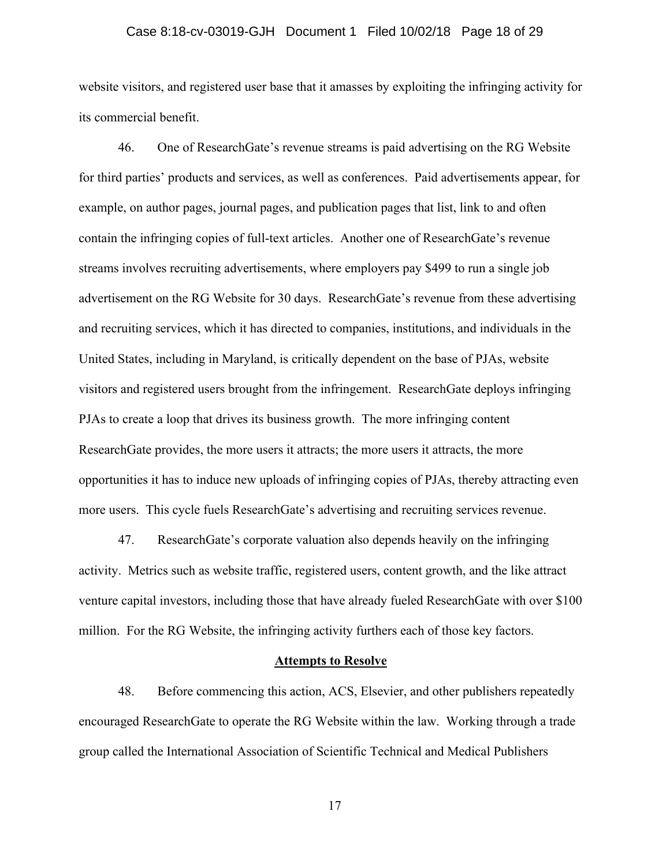## Case 8:18-cv-03019-GJH Document 1 Filed 10/02/18 Page 18 of 29

website visitors, and registered user base that it amasses by exploiting the infringing activity for its commercial benefit.

46. One of ResearchGate's revenue streams is paid advertising on the RG Website for third parties' products and services, as well as conferences. Paid advertisements appear, for example, on author pages, journal pages, and publication pages that list, link to and often contain the infringing copies of full-text articles. Another one of ResearchGate's revenue streams involves recruiting advertisements, where employers pay \$499 to run a single job advertisement on the RG Website for 30 days. ResearchGate's revenue from these advertising and recruiting services, which it has directed to companies, institutions, and individuals in the United States, including in Maryland, is critically dependent on the base of PJAs, website visitors and registered users brought from the infringement. ResearchGate deploys infringing PJAs to create a loop that drives its business growth. The more infringing content ResearchGate provides, the more users it attracts; the more users it attracts, the more opportunities it has to induce new uploads of infringing copies of PJAs, thereby attracting even more users. This cycle fuels ResearchGate's advertising and recruiting services revenue.

47. ResearchGate's corporate valuation also depends heavily on the infringing activity. Metrics such as website traffic, registered users, content growth, and the like attract venture capital investors, including those that have already fueled ResearchGate with over \$100 million. For the RG Website, the infringing activity furthers each of those key factors.

#### **Attempts to Resolve**

48. Before commencing this action, ACS, Elsevier, and other publishers repeatedly encouraged ResearchGate to operate the RG Website within the law. Working through a trade group called the International Association of Scientific Technical and Medical Publishers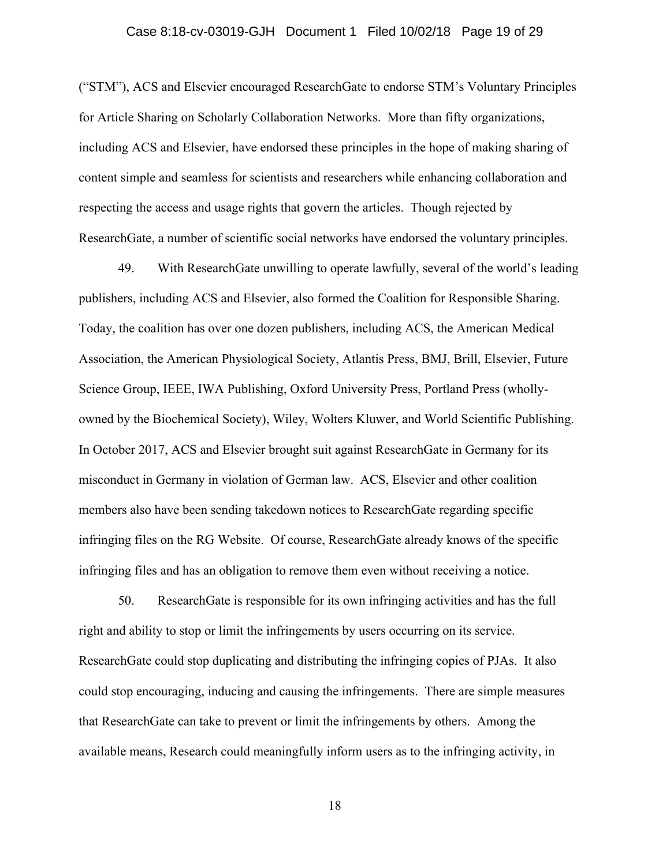## Case 8:18-cv-03019-GJH Document 1 Filed 10/02/18 Page 19 of 29

("STM"), ACS and Elsevier encouraged ResearchGate to endorse STM's Voluntary Principles for Article Sharing on Scholarly Collaboration Networks. More than fifty organizations, including ACS and Elsevier, have endorsed these principles in the hope of making sharing of content simple and seamless for scientists and researchers while enhancing collaboration and respecting the access and usage rights that govern the articles. Though rejected by ResearchGate, a number of scientific social networks have endorsed the voluntary principles.

49. With ResearchGate unwilling to operate lawfully, several of the world's leading publishers, including ACS and Elsevier, also formed the Coalition for Responsible Sharing. Today, the coalition has over one dozen publishers, including ACS, the American Medical Association, the American Physiological Society, Atlantis Press, BMJ, Brill, Elsevier, Future Science Group, IEEE, IWA Publishing, Oxford University Press, Portland Press (whollyowned by the Biochemical Society), Wiley, Wolters Kluwer, and World Scientific Publishing. In October 2017, ACS and Elsevier brought suit against ResearchGate in Germany for its misconduct in Germany in violation of German law. ACS, Elsevier and other coalition members also have been sending takedown notices to ResearchGate regarding specific infringing files on the RG Website. Of course, ResearchGate already knows of the specific infringing files and has an obligation to remove them even without receiving a notice.

50. ResearchGate is responsible for its own infringing activities and has the full right and ability to stop or limit the infringements by users occurring on its service. ResearchGate could stop duplicating and distributing the infringing copies of PJAs. It also could stop encouraging, inducing and causing the infringements. There are simple measures that ResearchGate can take to prevent or limit the infringements by others. Among the available means, Research could meaningfully inform users as to the infringing activity, in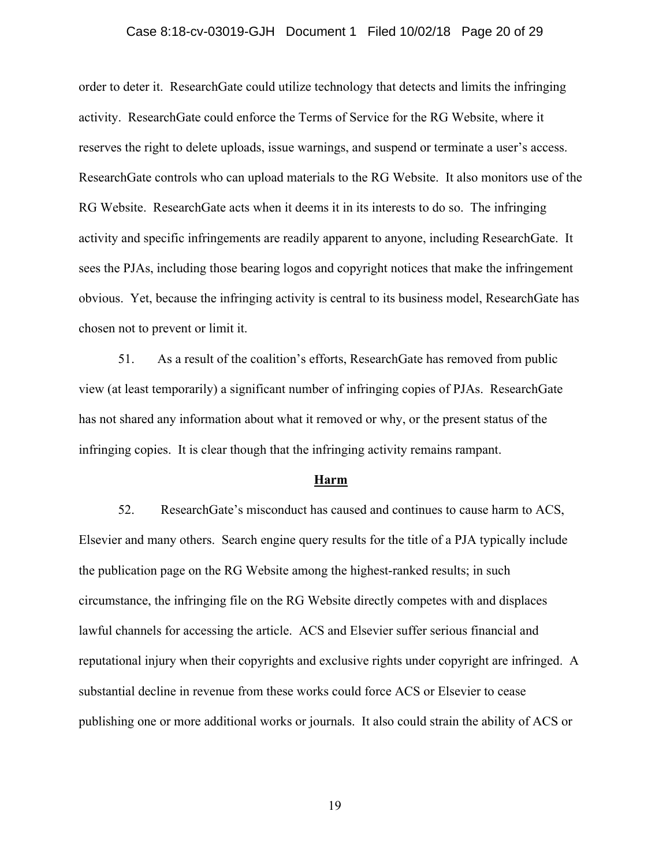## Case 8:18-cv-03019-GJH Document 1 Filed 10/02/18 Page 20 of 29

order to deter it. ResearchGate could utilize technology that detects and limits the infringing activity. ResearchGate could enforce the Terms of Service for the RG Website, where it reserves the right to delete uploads, issue warnings, and suspend or terminate a user's access. ResearchGate controls who can upload materials to the RG Website. It also monitors use of the RG Website. ResearchGate acts when it deems it in its interests to do so. The infringing activity and specific infringements are readily apparent to anyone, including ResearchGate. It sees the PJAs, including those bearing logos and copyright notices that make the infringement obvious. Yet, because the infringing activity is central to its business model, ResearchGate has chosen not to prevent or limit it.

51. As a result of the coalition's efforts, ResearchGate has removed from public view (at least temporarily) a significant number of infringing copies of PJAs. ResearchGate has not shared any information about what it removed or why, or the present status of the infringing copies. It is clear though that the infringing activity remains rampant.

#### **Harm**

52. ResearchGate's misconduct has caused and continues to cause harm to ACS, Elsevier and many others. Search engine query results for the title of a PJA typically include the publication page on the RG Website among the highest-ranked results; in such circumstance, the infringing file on the RG Website directly competes with and displaces lawful channels for accessing the article. ACS and Elsevier suffer serious financial and reputational injury when their copyrights and exclusive rights under copyright are infringed. A substantial decline in revenue from these works could force ACS or Elsevier to cease publishing one or more additional works or journals. It also could strain the ability of ACS or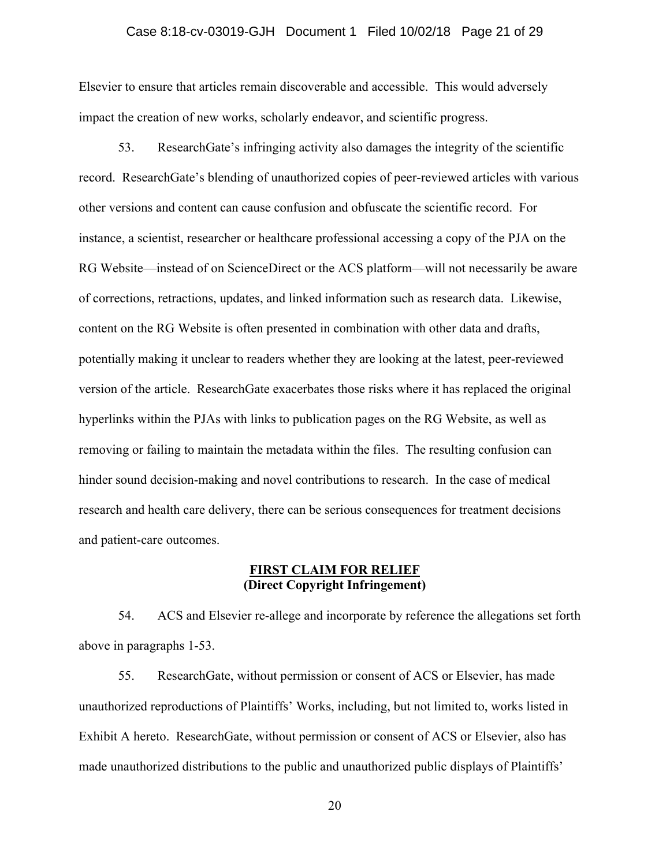## Case 8:18-cv-03019-GJH Document 1 Filed 10/02/18 Page 21 of 29

Elsevier to ensure that articles remain discoverable and accessible. This would adversely impact the creation of new works, scholarly endeavor, and scientific progress.

53. ResearchGate's infringing activity also damages the integrity of the scientific record. ResearchGate's blending of unauthorized copies of peer-reviewed articles with various other versions and content can cause confusion and obfuscate the scientific record. For instance, a scientist, researcher or healthcare professional accessing a copy of the PJA on the RG Website—instead of on ScienceDirect or the ACS platform—will not necessarily be aware of corrections, retractions, updates, and linked information such as research data. Likewise, content on the RG Website is often presented in combination with other data and drafts, potentially making it unclear to readers whether they are looking at the latest, peer-reviewed version of the article. ResearchGate exacerbates those risks where it has replaced the original hyperlinks within the PJAs with links to publication pages on the RG Website, as well as removing or failing to maintain the metadata within the files. The resulting confusion can hinder sound decision-making and novel contributions to research. In the case of medical research and health care delivery, there can be serious consequences for treatment decisions and patient-care outcomes.

## **FIRST CLAIM FOR RELIEF (Direct Copyright Infringement)**

54. ACS and Elsevier re-allege and incorporate by reference the allegations set forth above in paragraphs 1-53.

55. ResearchGate, without permission or consent of ACS or Elsevier, has made unauthorized reproductions of Plaintiffs' Works, including, but not limited to, works listed in Exhibit A hereto. ResearchGate, without permission or consent of ACS or Elsevier, also has made unauthorized distributions to the public and unauthorized public displays of Plaintiffs'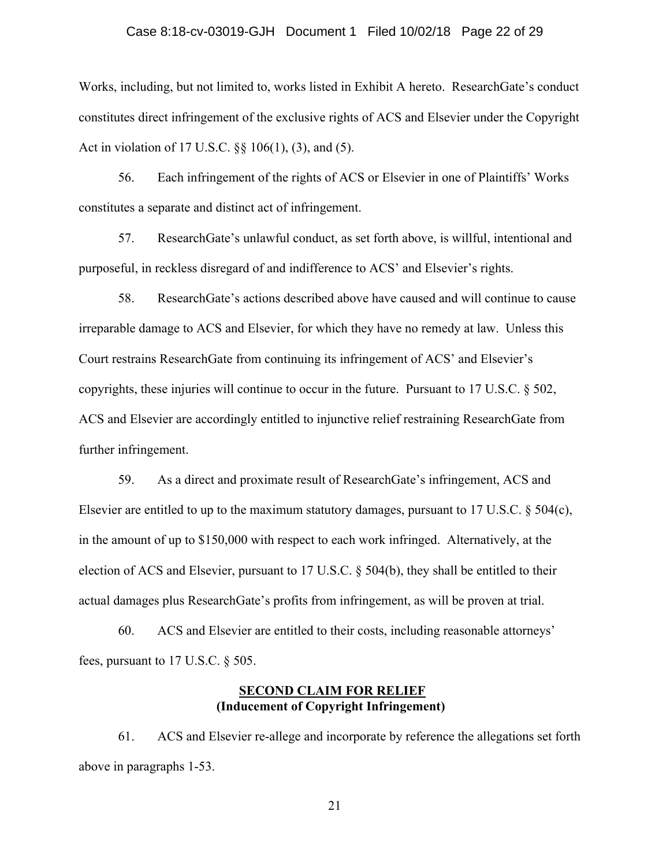## Case 8:18-cv-03019-GJH Document 1 Filed 10/02/18 Page 22 of 29

Works, including, but not limited to, works listed in Exhibit A hereto. ResearchGate's conduct constitutes direct infringement of the exclusive rights of ACS and Elsevier under the Copyright Act in violation of 17 U.S.C. §§ 106(1), (3), and (5).

56. Each infringement of the rights of ACS or Elsevier in one of Plaintiffs' Works constitutes a separate and distinct act of infringement.

57. ResearchGate's unlawful conduct, as set forth above, is willful, intentional and purposeful, in reckless disregard of and indifference to ACS' and Elsevier's rights.

58. ResearchGate's actions described above have caused and will continue to cause irreparable damage to ACS and Elsevier, for which they have no remedy at law. Unless this Court restrains ResearchGate from continuing its infringement of ACS' and Elsevier's copyrights, these injuries will continue to occur in the future. Pursuant to 17 U.S.C.  $\S$  502, ACS and Elsevier are accordingly entitled to injunctive relief restraining ResearchGate from further infringement.

59. As a direct and proximate result of ResearchGate's infringement, ACS and Elsevier are entitled to up to the maximum statutory damages, pursuant to 17 U.S.C. § 504(c), in the amount of up to \$150,000 with respect to each work infringed. Alternatively, at the election of ACS and Elsevier, pursuant to 17 U.S.C. § 504(b), they shall be entitled to their actual damages plus ResearchGate's profits from infringement, as will be proven at trial.

60. ACS and Elsevier are entitled to their costs, including reasonable attorneys' fees, pursuant to 17 U.S.C. § 505.

## **SECOND CLAIM FOR RELIEF (Inducement of Copyright Infringement)**

61. ACS and Elsevier re-allege and incorporate by reference the allegations set forth above in paragraphs 1-53.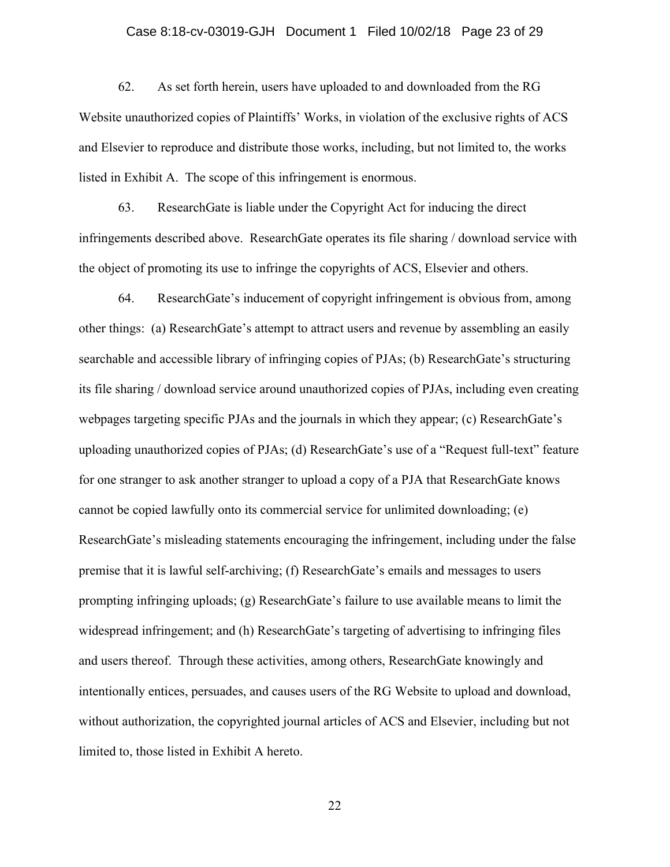## Case 8:18-cv-03019-GJH Document 1 Filed 10/02/18 Page 23 of 29

62. As set forth herein, users have uploaded to and downloaded from the RG Website unauthorized copies of Plaintiffs' Works, in violation of the exclusive rights of ACS and Elsevier to reproduce and distribute those works, including, but not limited to, the works listed in Exhibit A. The scope of this infringement is enormous.

63. ResearchGate is liable under the Copyright Act for inducing the direct infringements described above. ResearchGate operates its file sharing / download service with the object of promoting its use to infringe the copyrights of ACS, Elsevier and others.

64. ResearchGate's inducement of copyright infringement is obvious from, among other things: (a) ResearchGate's attempt to attract users and revenue by assembling an easily searchable and accessible library of infringing copies of PJAs; (b) ResearchGate's structuring its file sharing / download service around unauthorized copies of PJAs, including even creating webpages targeting specific PJAs and the journals in which they appear; (c) ResearchGate's uploading unauthorized copies of PJAs; (d) ResearchGate's use of a "Request full-text" feature for one stranger to ask another stranger to upload a copy of a PJA that ResearchGate knows cannot be copied lawfully onto its commercial service for unlimited downloading; (e) ResearchGate's misleading statements encouraging the infringement, including under the false premise that it is lawful self-archiving; (f) ResearchGate's emails and messages to users prompting infringing uploads; (g) ResearchGate's failure to use available means to limit the widespread infringement; and (h) ResearchGate's targeting of advertising to infringing files and users thereof. Through these activities, among others, ResearchGate knowingly and intentionally entices, persuades, and causes users of the RG Website to upload and download, without authorization, the copyrighted journal articles of ACS and Elsevier, including but not limited to, those listed in Exhibit A hereto.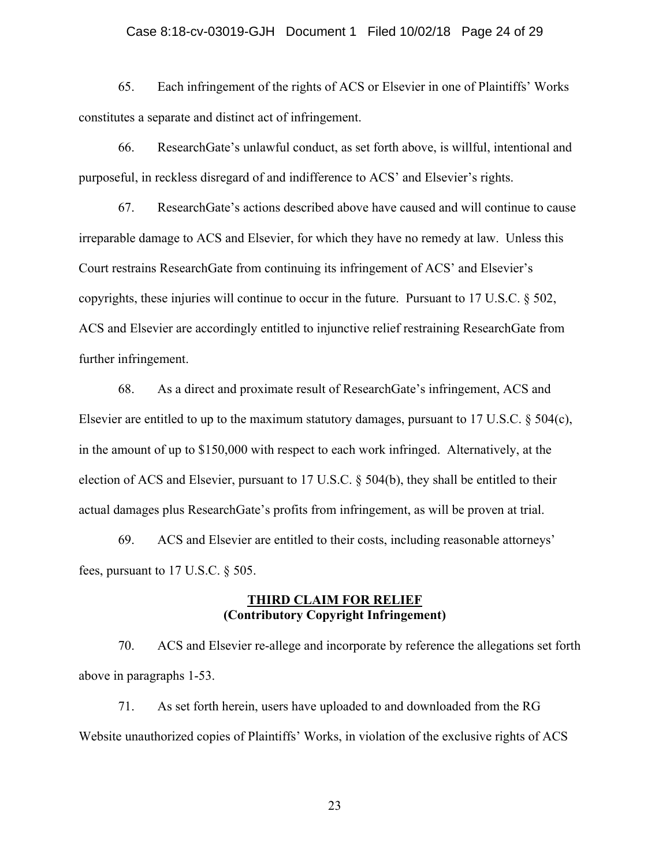## Case 8:18-cv-03019-GJH Document 1 Filed 10/02/18 Page 24 of 29

65. Each infringement of the rights of ACS or Elsevier in one of Plaintiffs' Works constitutes a separate and distinct act of infringement.

66. ResearchGate's unlawful conduct, as set forth above, is willful, intentional and purposeful, in reckless disregard of and indifference to ACS' and Elsevier's rights.

67. ResearchGate's actions described above have caused and will continue to cause irreparable damage to ACS and Elsevier, for which they have no remedy at law. Unless this Court restrains ResearchGate from continuing its infringement of ACS' and Elsevier's copyrights, these injuries will continue to occur in the future. Pursuant to 17 U.S.C. § 502, ACS and Elsevier are accordingly entitled to injunctive relief restraining ResearchGate from further infringement.

68. As a direct and proximate result of ResearchGate's infringement, ACS and Elsevier are entitled to up to the maximum statutory damages, pursuant to 17 U.S.C. § 504(c), in the amount of up to \$150,000 with respect to each work infringed. Alternatively, at the election of ACS and Elsevier, pursuant to 17 U.S.C. § 504(b), they shall be entitled to their actual damages plus ResearchGate's profits from infringement, as will be proven at trial.

69. ACS and Elsevier are entitled to their costs, including reasonable attorneys' fees, pursuant to 17 U.S.C. § 505.

## **THIRD CLAIM FOR RELIEF (Contributory Copyright Infringement)**

70. ACS and Elsevier re-allege and incorporate by reference the allegations set forth above in paragraphs 1-53.

71. As set forth herein, users have uploaded to and downloaded from the RG Website unauthorized copies of Plaintiffs' Works, in violation of the exclusive rights of ACS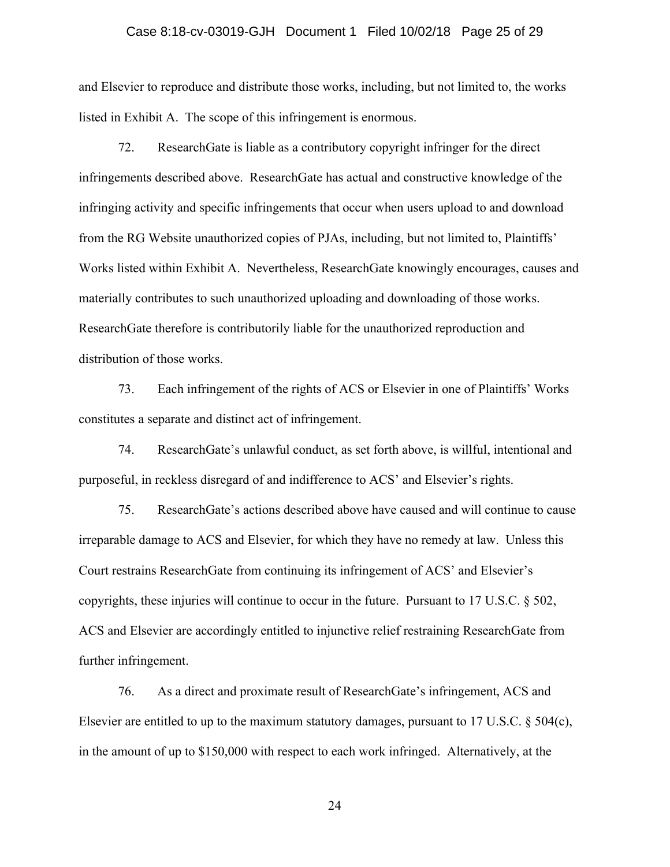### Case 8:18-cv-03019-GJH Document 1 Filed 10/02/18 Page 25 of 29

and Elsevier to reproduce and distribute those works, including, but not limited to, the works listed in Exhibit A. The scope of this infringement is enormous.

72. ResearchGate is liable as a contributory copyright infringer for the direct infringements described above. ResearchGate has actual and constructive knowledge of the infringing activity and specific infringements that occur when users upload to and download from the RG Website unauthorized copies of PJAs, including, but not limited to, Plaintiffs' Works listed within Exhibit A. Nevertheless, ResearchGate knowingly encourages, causes and materially contributes to such unauthorized uploading and downloading of those works. ResearchGate therefore is contributorily liable for the unauthorized reproduction and distribution of those works.

73. Each infringement of the rights of ACS or Elsevier in one of Plaintiffs' Works constitutes a separate and distinct act of infringement.

74. ResearchGate's unlawful conduct, as set forth above, is willful, intentional and purposeful, in reckless disregard of and indifference to ACS' and Elsevier's rights.

75. ResearchGate's actions described above have caused and will continue to cause irreparable damage to ACS and Elsevier, for which they have no remedy at law. Unless this Court restrains ResearchGate from continuing its infringement of ACS' and Elsevier's copyrights, these injuries will continue to occur in the future. Pursuant to 17 U.S.C. § 502, ACS and Elsevier are accordingly entitled to injunctive relief restraining ResearchGate from further infringement.

76. As a direct and proximate result of ResearchGate's infringement, ACS and Elsevier are entitled to up to the maximum statutory damages, pursuant to 17 U.S.C. § 504(c), in the amount of up to \$150,000 with respect to each work infringed. Alternatively, at the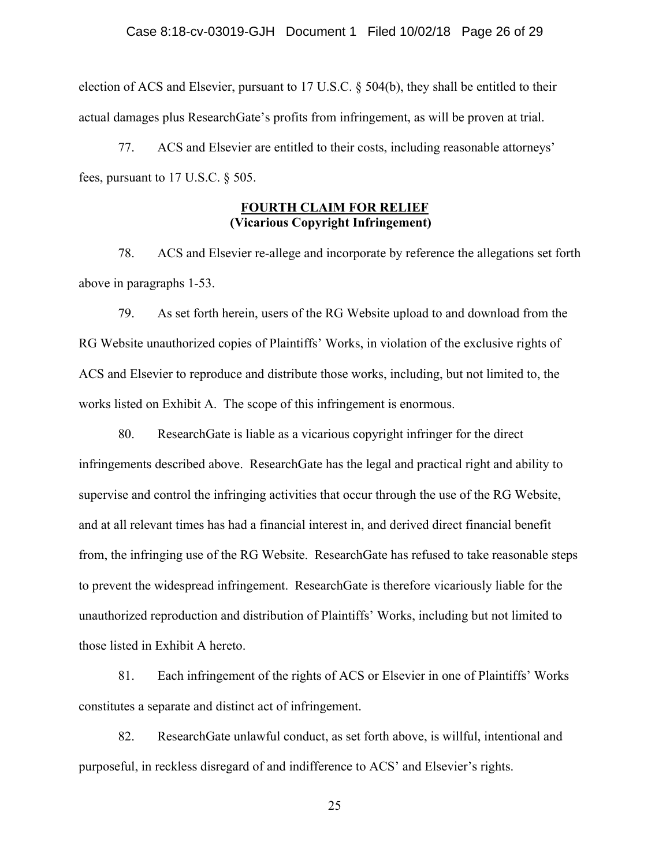### Case 8:18-cv-03019-GJH Document 1 Filed 10/02/18 Page 26 of 29

election of ACS and Elsevier, pursuant to 17 U.S.C. § 504(b), they shall be entitled to their actual damages plus ResearchGate's profits from infringement, as will be proven at trial.

77. ACS and Elsevier are entitled to their costs, including reasonable attorneys' fees, pursuant to 17 U.S.C. § 505.

## **FOURTH CLAIM FOR RELIEF (Vicarious Copyright Infringement)**

78. ACS and Elsevier re-allege and incorporate by reference the allegations set forth above in paragraphs 1-53.

79. As set forth herein, users of the RG Website upload to and download from the RG Website unauthorized copies of Plaintiffs' Works, in violation of the exclusive rights of ACS and Elsevier to reproduce and distribute those works, including, but not limited to, the works listed on Exhibit A. The scope of this infringement is enormous.

80. ResearchGate is liable as a vicarious copyright infringer for the direct infringements described above. ResearchGate has the legal and practical right and ability to supervise and control the infringing activities that occur through the use of the RG Website, and at all relevant times has had a financial interest in, and derived direct financial benefit from, the infringing use of the RG Website. ResearchGate has refused to take reasonable steps to prevent the widespread infringement. ResearchGate is therefore vicariously liable for the unauthorized reproduction and distribution of Plaintiffs' Works, including but not limited to those listed in Exhibit A hereto.

81. Each infringement of the rights of ACS or Elsevier in one of Plaintiffs' Works constitutes a separate and distinct act of infringement.

82. ResearchGate unlawful conduct, as set forth above, is willful, intentional and purposeful, in reckless disregard of and indifference to ACS' and Elsevier's rights.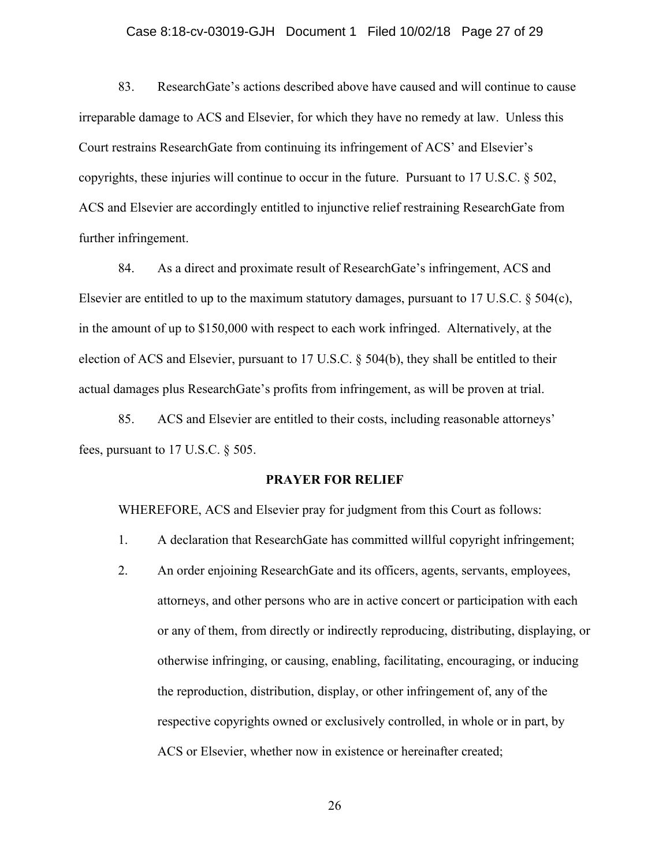## Case 8:18-cv-03019-GJH Document 1 Filed 10/02/18 Page 27 of 29

83. ResearchGate's actions described above have caused and will continue to cause irreparable damage to ACS and Elsevier, for which they have no remedy at law. Unless this Court restrains ResearchGate from continuing its infringement of ACS' and Elsevier's copyrights, these injuries will continue to occur in the future. Pursuant to 17 U.S.C. § 502, ACS and Elsevier are accordingly entitled to injunctive relief restraining ResearchGate from further infringement.

84. As a direct and proximate result of ResearchGate's infringement, ACS and Elsevier are entitled to up to the maximum statutory damages, pursuant to 17 U.S.C.  $\S$  504(c), in the amount of up to \$150,000 with respect to each work infringed. Alternatively, at the election of ACS and Elsevier, pursuant to 17 U.S.C. § 504(b), they shall be entitled to their actual damages plus ResearchGate's profits from infringement, as will be proven at trial.

85. ACS and Elsevier are entitled to their costs, including reasonable attorneys' fees, pursuant to 17 U.S.C. § 505.

#### **PRAYER FOR RELIEF**

WHEREFORE, ACS and Elsevier pray for judgment from this Court as follows:

- 1. A declaration that ResearchGate has committed willful copyright infringement;
- 2. An order enjoining ResearchGate and its officers, agents, servants, employees, attorneys, and other persons who are in active concert or participation with each or any of them, from directly or indirectly reproducing, distributing, displaying, or otherwise infringing, or causing, enabling, facilitating, encouraging, or inducing the reproduction, distribution, display, or other infringement of, any of the respective copyrights owned or exclusively controlled, in whole or in part, by ACS or Elsevier, whether now in existence or hereinafter created;